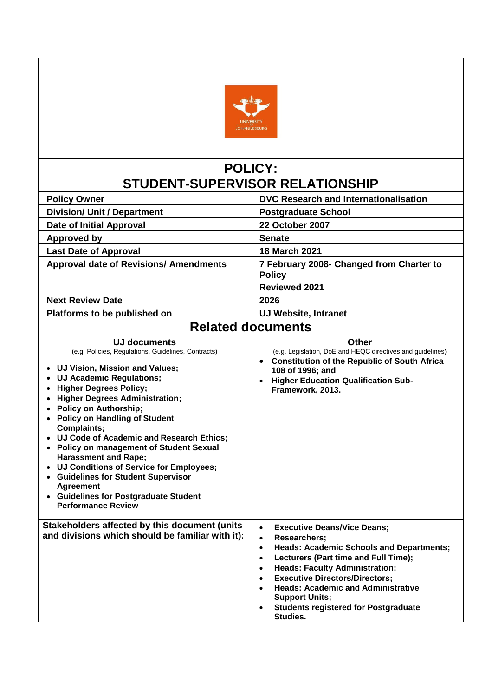

# **POLICY: STUDENT-SUPERVISOR RELATIONSHIP**

| <b>Policy Owner</b>                                                                                                                                                                                                                                                                                                                                                                                                                                                                                                                                                                                                                                | DVC Research and Internationalisation                                                                                                                                                                                                                                                                                                                                                                                                                                           |
|----------------------------------------------------------------------------------------------------------------------------------------------------------------------------------------------------------------------------------------------------------------------------------------------------------------------------------------------------------------------------------------------------------------------------------------------------------------------------------------------------------------------------------------------------------------------------------------------------------------------------------------------------|---------------------------------------------------------------------------------------------------------------------------------------------------------------------------------------------------------------------------------------------------------------------------------------------------------------------------------------------------------------------------------------------------------------------------------------------------------------------------------|
| <b>Division/ Unit / Department</b>                                                                                                                                                                                                                                                                                                                                                                                                                                                                                                                                                                                                                 | <b>Postgraduate School</b>                                                                                                                                                                                                                                                                                                                                                                                                                                                      |
| <b>Date of Initial Approval</b>                                                                                                                                                                                                                                                                                                                                                                                                                                                                                                                                                                                                                    | 22 October 2007                                                                                                                                                                                                                                                                                                                                                                                                                                                                 |
| <b>Approved by</b>                                                                                                                                                                                                                                                                                                                                                                                                                                                                                                                                                                                                                                 | <b>Senate</b>                                                                                                                                                                                                                                                                                                                                                                                                                                                                   |
| <b>Last Date of Approval</b>                                                                                                                                                                                                                                                                                                                                                                                                                                                                                                                                                                                                                       | <b>18 March 2021</b>                                                                                                                                                                                                                                                                                                                                                                                                                                                            |
| <b>Approval date of Revisions/ Amendments</b>                                                                                                                                                                                                                                                                                                                                                                                                                                                                                                                                                                                                      | 7 February 2008- Changed from Charter to<br><b>Policy</b><br><b>Reviewed 2021</b>                                                                                                                                                                                                                                                                                                                                                                                               |
| <b>Next Review Date</b>                                                                                                                                                                                                                                                                                                                                                                                                                                                                                                                                                                                                                            | 2026                                                                                                                                                                                                                                                                                                                                                                                                                                                                            |
| Platforms to be published on                                                                                                                                                                                                                                                                                                                                                                                                                                                                                                                                                                                                                       | <b>UJ Website, Intranet</b>                                                                                                                                                                                                                                                                                                                                                                                                                                                     |
|                                                                                                                                                                                                                                                                                                                                                                                                                                                                                                                                                                                                                                                    | <b>Related documents</b>                                                                                                                                                                                                                                                                                                                                                                                                                                                        |
|                                                                                                                                                                                                                                                                                                                                                                                                                                                                                                                                                                                                                                                    |                                                                                                                                                                                                                                                                                                                                                                                                                                                                                 |
| UJ documents<br>(e.g. Policies, Regulations, Guidelines, Contracts)<br>UJ Vision, Mission and Values;<br>$\bullet$<br><b>UJ Academic Regulations;</b><br><b>Higher Degrees Policy;</b><br><b>Higher Degrees Administration;</b><br>$\bullet$<br>• Policy on Authorship;<br><b>Policy on Handling of Student</b><br>$\bullet$<br>Complaints;<br>• UJ Code of Academic and Research Ethics;<br>• Policy on management of Student Sexual<br><b>Harassment and Rape;</b><br>• UJ Conditions of Service for Employees;<br>• Guidelines for Student Supervisor<br><b>Agreement</b><br>• Guidelines for Postgraduate Student<br><b>Performance Review</b> | Other<br>(e.g. Legislation, DoE and HEQC directives and guidelines)<br>• Constitution of the Republic of South Africa<br>108 of 1996; and<br>• Higher Education Qualification Sub-<br>Framework, 2013.                                                                                                                                                                                                                                                                          |
| Stakeholders affected by this document (units<br>and divisions which should be familiar with it):                                                                                                                                                                                                                                                                                                                                                                                                                                                                                                                                                  | <b>Executive Deans/Vice Deans;</b><br>$\bullet$<br><b>Researchers:</b><br>$\bullet$<br><b>Heads: Academic Schools and Departments;</b><br>$\bullet$<br>Lecturers (Part time and Full Time);<br>$\bullet$<br><b>Heads: Faculty Administration;</b><br>$\bullet$<br><b>Executive Directors/Directors;</b><br>$\bullet$<br><b>Heads: Academic and Administrative</b><br>$\bullet$<br><b>Support Units;</b><br><b>Students registered for Postgraduate</b><br>$\bullet$<br>Studies. |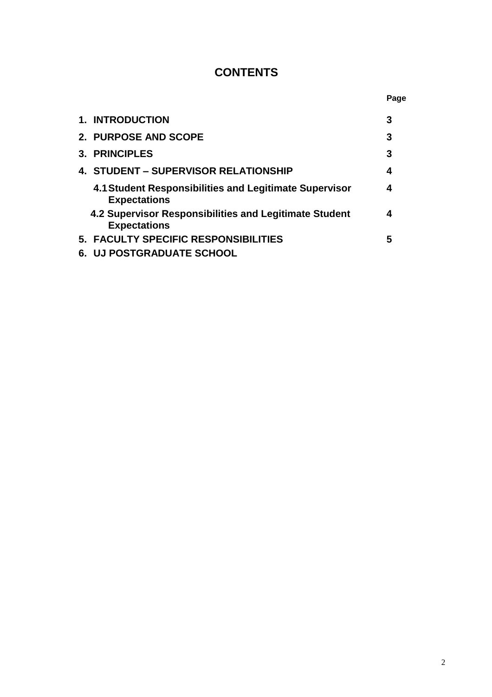## **CONTENTS**

|                                                                               | Page |
|-------------------------------------------------------------------------------|------|
| <b>1. INTRODUCTION</b>                                                        | 3    |
| 2. PURPOSE AND SCOPE                                                          | 3    |
| 3. PRINCIPLES                                                                 | 3    |
| 4. STUDENT – SUPERVISOR RELATIONSHIP                                          | 4    |
| 4.1 Student Responsibilities and Legitimate Supervisor<br><b>Expectations</b> | 4    |
| 4.2 Supervisor Responsibilities and Legitimate Student<br><b>Expectations</b> | 4    |
| 5. FACULTY SPECIFIC RESPONSIBILITIES                                          | 5    |
| <b>6. UJ POSTGRADUATE SCHOOL</b>                                              |      |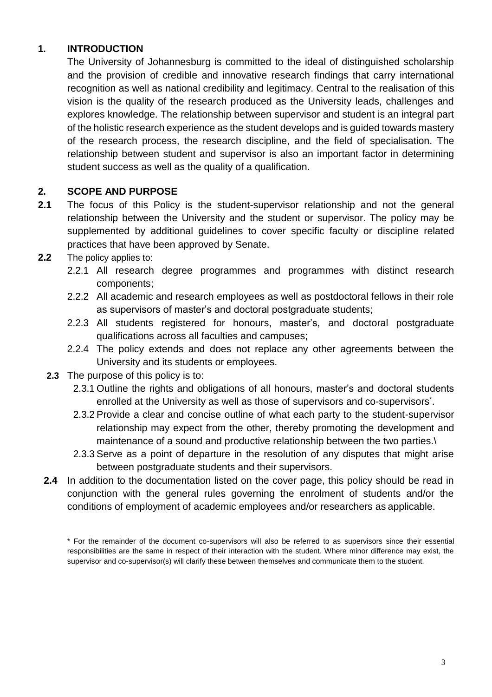## **1. INTRODUCTION**

The University of Johannesburg is committed to the ideal of distinguished scholarship and the provision of credible and innovative research findings that carry international recognition as well as national credibility and legitimacy. Central to the realisation of this vision is the quality of the research produced as the University leads, challenges and explores knowledge. The relationship between supervisor and student is an integral part of the holistic research experience as the student develops and is guided towards mastery of the research process, the research discipline, and the field of specialisation. The relationship between student and supervisor is also an important factor in determining student success as well as the quality of a qualification.

#### **2. SCOPE AND PURPOSE**

- **2.1** The focus of this Policy is the student-supervisor relationship and not the general relationship between the University and the student or supervisor. The policy may be supplemented by additional guidelines to cover specific faculty or discipline related practices that have been approved by Senate.
- **2.2** The policy applies to:
	- 2.2.1 All research degree programmes and programmes with distinct research components;
	- 2.2.2 All academic and research employees as well as postdoctoral fellows in their role as supervisors of master's and doctoral postgraduate students;
	- 2.2.3 All students registered for honours, master's, and doctoral postgraduate qualifications across all faculties and campuses;
	- 2.2.4 The policy extends and does not replace any other agreements between the University and its students or employees.
	- **2.3** The purpose of this policy is to:
		- 2.3.1 Outline the rights and obligations of all honours, master's and doctoral students enrolled at the University as well as those of supervisors and co-supervisors<sup>\*</sup>.
		- 2.3.2 Provide a clear and concise outline of what each party to the student-supervisor relationship may expect from the other, thereby promoting the development and maintenance of a sound and productive relationship between the two parties.\
		- 2.3.3 Serve as a point of departure in the resolution of any disputes that might arise between postgraduate students and their supervisors.
	- **2.4** In addition to the documentation listed on the cover page, this policy should be read in conjunction with the general rules governing the enrolment of students and/or the conditions of employment of academic employees and/or researchers as applicable.

<sup>\*</sup> For the remainder of the document co-supervisors will also be referred to as supervisors since their essential responsibilities are the same in respect of their interaction with the student. Where minor difference may exist, the supervisor and co-supervisor(s) will clarify these between themselves and communicate them to the student.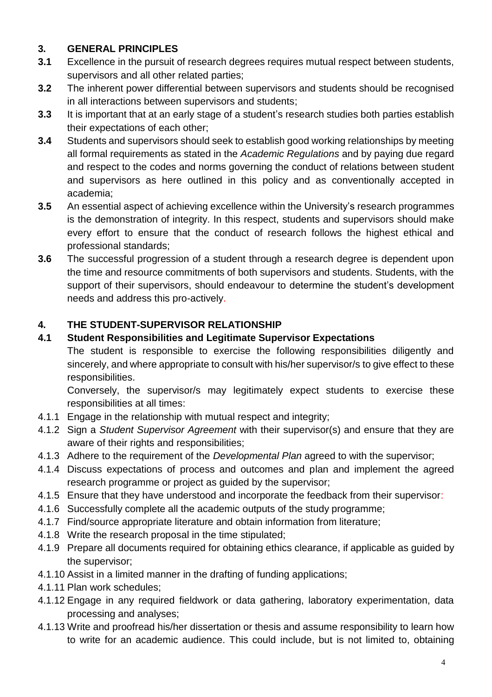## **3. GENERAL PRINCIPLES**

- **3.1** Excellence in the pursuit of research degrees requires mutual respect between students, supervisors and all other related parties;
- **3.2** The inherent power differential between supervisors and students should be recognised in all interactions between supervisors and students;
- **3.3** It is important that at an early stage of a student's research studies both parties establish their expectations of each other;
- **3.4** Students and supervisors should seek to establish good working relationships by meeting all formal requirements as stated in the *Academic Regulations* and by paying due regard and respect to the codes and norms governing the conduct of relations between student and supervisors as here outlined in this policy and as conventionally accepted in academia;
- **3.5** An essential aspect of achieving excellence within the University's research programmes is the demonstration of integrity. In this respect, students and supervisors should make every effort to ensure that the conduct of research follows the highest ethical and professional standards;
- **3.6** The successful progression of a student through a research degree is dependent upon the time and resource commitments of both supervisors and students. Students, with the support of their supervisors, should endeavour to determine the student's development needs and address this pro-actively.

## **4. THE STUDENT-SUPERVISOR RELATIONSHIP**

## **4.1 Student Responsibilities and Legitimate Supervisor Expectations**

The student is responsible to exercise the following responsibilities diligently and sincerely, and where appropriate to consult with his/her supervisor/s to give effect to these responsibilities.

Conversely, the supervisor/s may legitimately expect students to exercise these responsibilities at all times:

- 4.1.1 Engage in the relationship with mutual respect and integrity;
- 4.1.2 Sign a *Student Supervisor Agreement* with their supervisor(s) and ensure that they are aware of their rights and responsibilities;
- 4.1.3 Adhere to the requirement of the *Developmental Plan* agreed to with the supervisor;
- 4.1.4 Discuss expectations of process and outcomes and plan and implement the agreed research programme or project as guided by the supervisor;
- 4.1.5 Ensure that they have understood and incorporate the feedback from their supervisor:
- 4.1.6 Successfully complete all the academic outputs of the study programme;
- 4.1.7 Find/source appropriate literature and obtain information from literature;
- 4.1.8 Write the research proposal in the time stipulated;
- 4.1.9 Prepare all documents required for obtaining ethics clearance, if applicable as guided by the supervisor;
- 4.1.10 Assist in a limited manner in the drafting of funding applications;
- 4.1.11 Plan work schedules;
- 4.1.12 Engage in any required fieldwork or data gathering, laboratory experimentation, data processing and analyses;
- 4.1.13 Write and proofread his/her dissertation or thesis and assume responsibility to learn how to write for an academic audience. This could include, but is not limited to, obtaining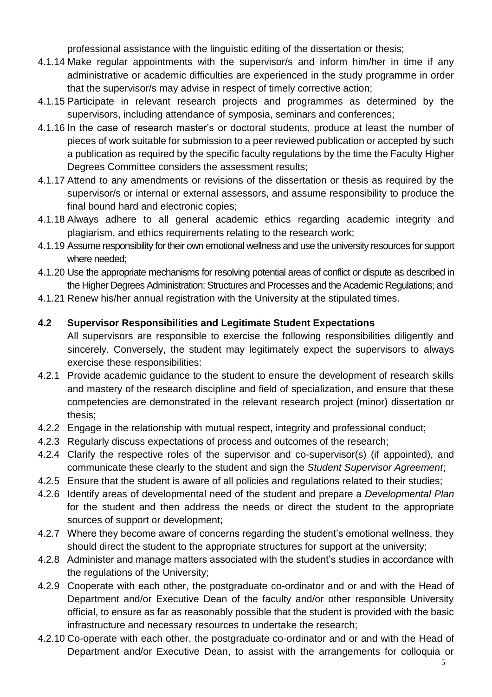professional assistance with the linguistic editing of the dissertation or thesis;

- 4.1.14 Make regular appointments with the supervisor/s and inform him/her in time if any administrative or academic difficulties are experienced in the study programme in order that the supervisor/s may advise in respect of timely corrective action;
- 4.1.15 Participate in relevant research projects and programmes as determined by the supervisors, including attendance of symposia, seminars and conferences;
- 4.1.16 In the case of research master's or doctoral students, produce at least the number of pieces of work suitable for submission to a peer reviewed publication or accepted by such a publication as required by the specific faculty regulations by the time the Faculty Higher Degrees Committee considers the assessment results;
- 4.1.17 Attend to any amendments or revisions of the dissertation or thesis as required by the supervisor/s or internal or external assessors, and assume responsibility to produce the final bound hard and electronic copies;
- 4.1.18 Always adhere to all general academic ethics regarding academic integrity and plagiarism, and ethics requirements relating to the research work;
- 4.1.19 Assume responsibility for their own emotional wellness and use the university resources for support where needed;
- 4.1.20 Use the appropriate mechanisms for resolving potential areas of conflict or dispute as described in the Higher Degrees Administration: Structures and Processes and the Academic Regulations; and
- 4.1.21 Renew his/her annual registration with the University at the stipulated times.

#### **4.2 Supervisor Responsibilities and Legitimate Student Expectations**

All supervisors are responsible to exercise the following responsibilities diligently and sincerely. Conversely, the student may legitimately expect the supervisors to always exercise these responsibilities:

- 4.2.1 Provide academic guidance to the student to ensure the development of research skills and mastery of the research discipline and field of specialization, and ensure that these competencies are demonstrated in the relevant research project (minor) dissertation or thesis;
- 4.2.2 Engage in the relationship with mutual respect, integrity and professional conduct;
- 4.2.3 Regularly discuss expectations of process and outcomes of the research;
- 4.2.4 Clarify the respective roles of the supervisor and co-supervisor(s) (if appointed), and communicate these clearly to the student and sign the *Student Supervisor Agreement*;
- 4.2.5 Ensure that the student is aware of all policies and regulations related to their studies;
- 4.2.6 Identify areas of developmental need of the student and prepare a *Developmental Plan* for the student and then address the needs or direct the student to the appropriate sources of support or development;
- 4.2.7 Where they become aware of concerns regarding the student's emotional wellness, they should direct the student to the appropriate structures for support at the university;
- 4.2.8 Administer and manage matters associated with the student's studies in accordance with the regulations of the University;
- 4.2.9 Cooperate with each other, the postgraduate co-ordinator and or and with the Head of Department and/or Executive Dean of the faculty and/or other responsible University official, to ensure as far as reasonably possible that the student is provided with the basic infrastructure and necessary resources to undertake the research;
- 4.2.10 Co-operate with each other, the postgraduate co-ordinator and or and with the Head of Department and/or Executive Dean, to assist with the arrangements for colloquia or